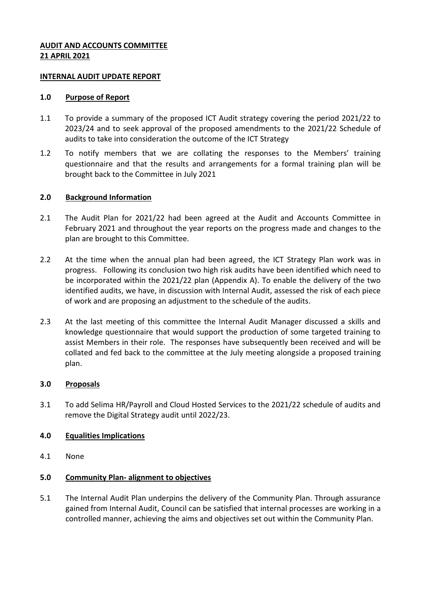# **AUDIT AND ACCOUNTS COMMITTEE 21 APRIL 2021**

## **INTERNAL AUDIT UPDATE REPORT**

#### **1.0 Purpose of Report**

- 1.1 To provide a summary of the proposed ICT Audit strategy covering the period 2021/22 to 2023/24 and to seek approval of the proposed amendments to the 2021/22 Schedule of audits to take into consideration the outcome of the ICT Strategy
- 1.2 To notify members that we are collating the responses to the Members' training questionnaire and that the results and arrangements for a formal training plan will be brought back to the Committee in July 2021

# **2.0 Background Information**

- 2.1 The Audit Plan for 2021/22 had been agreed at the Audit and Accounts Committee in February 2021 and throughout the year reports on the progress made and changes to the plan are brought to this Committee.
- 2.2 At the time when the annual plan had been agreed, the ICT Strategy Plan work was in progress. Following its conclusion two high risk audits have been identified which need to be incorporated within the 2021/22 plan (Appendix A). To enable the delivery of the two identified audits, we have, in discussion with Internal Audit, assessed the risk of each piece of work and are proposing an adjustment to the schedule of the audits.
- 2.3 At the last meeting of this committee the Internal Audit Manager discussed a skills and knowledge questionnaire that would support the production of some targeted training to assist Members in their role. The responses have subsequently been received and will be collated and fed back to the committee at the July meeting alongside a proposed training plan.

#### **3.0 Proposals**

3.1 To add Selima HR/Payroll and Cloud Hosted Services to the 2021/22 schedule of audits and remove the Digital Strategy audit until 2022/23.

#### **4.0 Equalities Implications**

4.1 None

# **5.0 Community Plan- alignment to objectives**

5.1 The Internal Audit Plan underpins the delivery of the Community Plan. Through assurance gained from Internal Audit, Council can be satisfied that internal processes are working in a controlled manner, achieving the aims and objectives set out within the Community Plan.